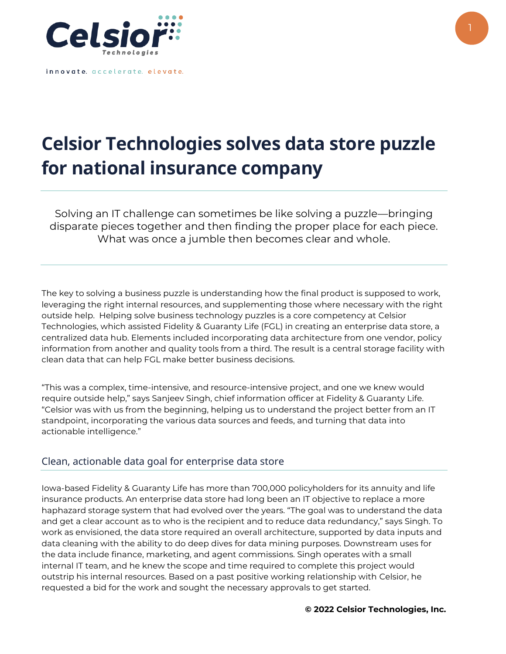

innovate. accelerate. elevate.

## **Celsior Technologies solves data store puzzle for national insurance company**

Solving an IT challenge can sometimes be like solving a puzzle—bringing disparate pieces together and then finding the proper place for each piece. What was once a jumble then becomes clear and whole.

The key to solving a business puzzle is understanding how the final product is supposed to work, leveraging the right internal resources, and supplementing those where necessary with the right outside help. Helping solve business technology puzzles is a core competency at Celsior Technologies, which assisted Fidelity & Guaranty Life (FGL) in creating an enterprise data store, a centralized data hub. Elements included incorporating data architecture from one vendor, policy information from another and quality tools from a third. The result is a central storage facility with clean data that can help FGL make better business decisions.

"This was a complex, time-intensive, and resource-intensive project, and one we knew would require outside help," says Sanjeev Singh, chief information officer at Fidelity & Guaranty Life. "Celsior was with us from the beginning, helping us to understand the project better from an IT standpoint, incorporating the various data sources and feeds, and turning that data into actionable intelligence."

## Clean, actionable data goal for enterprise data store

Iowa-based Fidelity & Guaranty Life has more than 700,000 policyholders for its annuity and life insurance products. An enterprise data store had long been an IT objective to replace a more haphazard storage system that had evolved over the years. "The goal was to understand the data and get a clear account as to who is the recipient and to reduce data redundancy," says Singh. To work as envisioned, the data store required an overall architecture, supported by data inputs and data cleaning with the ability to do deep dives for data mining purposes. Downstream uses for the data include finance, marketing, and agent commissions. Singh operates with a small internal IT team, and he knew the scope and time required to complete this project would outstrip his internal resources. Based on a past positive working relationship with Celsior, he requested a bid for the work and sought the necessary approvals to get started.

**© 2022 Celsior Technologies, Inc.**